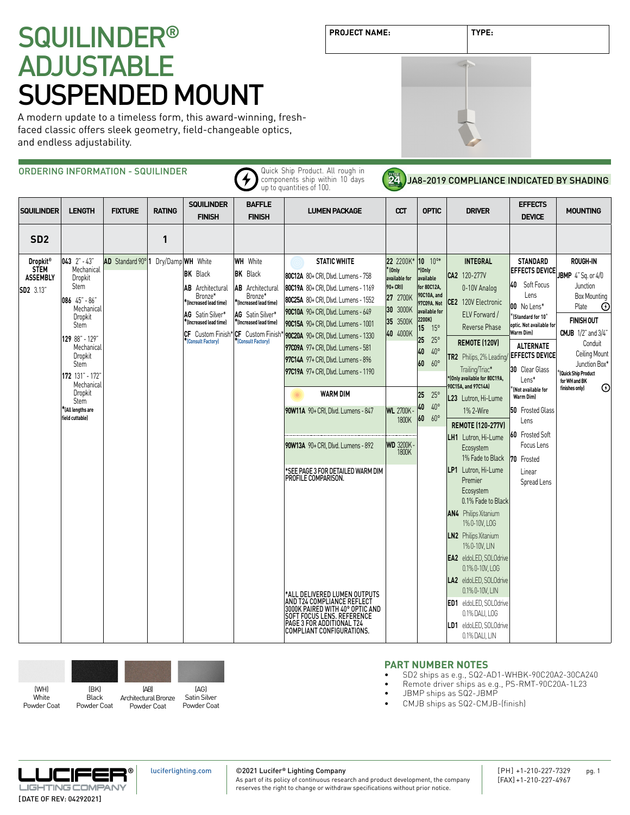# SQUILINDER**®** ADJUSTABLE SUSPENDED MOUNT

A modern update to a timeless form, this award-winning, freshfaced classic offers sleek geometry, field-changeable optics, and endless adjustability.

|                                                                       |                                                                                                                                                                                                                                                      | ORDERING INFORMATION - SQUILINDER   |               |                                                                                                                                                                                          |                                                                                                                                                                                           | Quick Ship Product. All rough in<br>components ship within 10 days<br>up to quantities of 100.                                                                                                                                                                                                                                                                                                                                                                                                                                                                                                                                                                                                                                     | <b>24</b>                                                                                                                                                             |                                                                                                                                                                                                                                                          | JA8-2019 COMPLIANCE INDICATED BY SHADING                                                                                                                                                                                                                                                                                                                                                                                                                                                                                                                                                                                                                                                                                    |                                                                                                                                                                                                                                                                                                                                                                                                      |                                                                                                                                                                                                                                                                            |
|-----------------------------------------------------------------------|------------------------------------------------------------------------------------------------------------------------------------------------------------------------------------------------------------------------------------------------------|-------------------------------------|---------------|------------------------------------------------------------------------------------------------------------------------------------------------------------------------------------------|-------------------------------------------------------------------------------------------------------------------------------------------------------------------------------------------|------------------------------------------------------------------------------------------------------------------------------------------------------------------------------------------------------------------------------------------------------------------------------------------------------------------------------------------------------------------------------------------------------------------------------------------------------------------------------------------------------------------------------------------------------------------------------------------------------------------------------------------------------------------------------------------------------------------------------------|-----------------------------------------------------------------------------------------------------------------------------------------------------------------------|----------------------------------------------------------------------------------------------------------------------------------------------------------------------------------------------------------------------------------------------------------|-----------------------------------------------------------------------------------------------------------------------------------------------------------------------------------------------------------------------------------------------------------------------------------------------------------------------------------------------------------------------------------------------------------------------------------------------------------------------------------------------------------------------------------------------------------------------------------------------------------------------------------------------------------------------------------------------------------------------------|------------------------------------------------------------------------------------------------------------------------------------------------------------------------------------------------------------------------------------------------------------------------------------------------------------------------------------------------------------------------------------------------------|----------------------------------------------------------------------------------------------------------------------------------------------------------------------------------------------------------------------------------------------------------------------------|
| <b>SQUILINDER</b>                                                     | <b>LENGTH</b>                                                                                                                                                                                                                                        | <b>FIXTURE</b>                      | <b>RATING</b> | <b>SQUILINDER</b><br><b>FINISH</b>                                                                                                                                                       | <b>BAFFLE</b><br><b>FINISH</b>                                                                                                                                                            | <b>LUMEN PACKAGE</b>                                                                                                                                                                                                                                                                                                                                                                                                                                                                                                                                                                                                                                                                                                               | CCT                                                                                                                                                                   | <b>OPTIC</b>                                                                                                                                                                                                                                             | <b>DRIVER</b>                                                                                                                                                                                                                                                                                                                                                                                                                                                                                                                                                                                                                                                                                                               | <b>EFFECTS</b><br><b>DEVICE</b>                                                                                                                                                                                                                                                                                                                                                                      | <b>MOUNTING</b>                                                                                                                                                                                                                                                            |
| SD <sub>2</sub>                                                       |                                                                                                                                                                                                                                                      |                                     | 1             |                                                                                                                                                                                          |                                                                                                                                                                                           |                                                                                                                                                                                                                                                                                                                                                                                                                                                                                                                                                                                                                                                                                                                                    |                                                                                                                                                                       |                                                                                                                                                                                                                                                          |                                                                                                                                                                                                                                                                                                                                                                                                                                                                                                                                                                                                                                                                                                                             |                                                                                                                                                                                                                                                                                                                                                                                                      |                                                                                                                                                                                                                                                                            |
| <b>Dropkit®</b><br><b>STEM</b><br><b>ASSEMBLY</b><br><b>SD2</b> 3.13" | $043$ $2" - 43"$<br>Mechanical<br>Dropkit<br>Stem<br>$086$ 45" - 86'<br>Mechanical<br>Dropkit<br>Stem<br>129 88" - 129"<br>Mechanical<br>Dropkit<br>Stem<br>172 131" - 172"<br>Mechanical<br>Dropkit<br>Stem<br>*(All lengths are<br>field cuttable) | AD Standard 90° 1 Dry/Damp WH White |               | <b>BK</b> Black<br><b>AB</b> Architectural<br>Bronze*<br><sup>*</sup> lIncreased lead time)<br>AG Satin Silver*<br>*(Increased lead time)<br>CF Custom Finish*<br><b>Consult Factory</b> | <b>WH</b> White<br><b>BK</b> Black<br>AB<br>Architectural<br>Bronze*<br>*(Increased lead time)<br>AG Satin Silver*<br>$^*$ (Increased lead time)<br>CF Custom Finish<br>(Consult Factory) | <b>STATIC WHITE</b><br>80C12A 80+ CRI, Dlvd. Lumens - 758<br>80C19A 80+ CRI, Dlvd. Lumens - 1169<br>80C25A 80+ CRI, Dlvd. Lumens - 1552<br>90C10A 90+ CRI, Dlvd. Lumens - 649<br>90C15A 90+ CRI, Dlvd. Lumens - 1001<br>90C20A 90+ CRI, Dlvd. Lumens - 1330<br>97C09A 97+ CRI, Dlvd. Lumens - 581<br>97C14A 97+ CRI, Dlvd. Lumens - 896<br>97C19A 97+ CRI, Dlvd. Lumens - 1190<br><b>WARM DIM</b><br>90W11A 90+ CRI. Dlvd. Lumens - 847<br>90W13A 90+ CRI, Dlvd. Lumens - 892<br>*SEE PAGE 3 FOR DETAILED WARM DIM<br>PROFILE COMPARISON.<br>*ALL DELIVERED LUMEN OUTPUTS<br>AND T24 COMPLIANCE REFLECT<br>3000K PAIRED WITH 40° OPTIC AND<br>SOFT FOCUS LENS. REFERENCE<br>PAGE 3 FOR ADDITIONAL T24<br>COMPLIANT CONFIGURATIONS. | 22 2200K*<br><sup>*</sup> (Only<br>available for<br>90+ CRI)<br>27 2700K<br>30 3000K<br>35 3500K<br>40 4000K<br><b>WL 2700K</b><br>1800K<br><b>WD 3200K-</b><br>1800K | $10^{10*}$<br>*(Only<br>available<br>for 80C12A,<br>90C10A, and<br>97C09A. Not<br>available for<br>2200K)<br>15 <sub>1</sub><br>$15^{\circ}$<br>25<br>$25^{\circ}$<br>$40^{\circ}$<br>40<br>$60^{\circ}$<br>60<br>25 25°<br>40<br>$40^{\circ}$<br>60 60° | <b>INTEGRAL</b><br>CA2 120-277V<br>0-10V Analog<br>CE2 120V Electronic<br>ELV Forward /<br>Reverse Phase<br><b>REMOTE (120V)</b><br>TR2 Philips, 2% Leading<br>Trailing/Triac*<br>*(Only available for 80C19A,<br>90C15A, and 97C14A)<br>L23 Lutron, Hi-Lume<br>1% 2-Wire<br><b>REMOTE (120-277V)</b><br>LH1 Lutron, Hi-Lume<br>Ecosystem<br>1% Fade to Black<br>LP1 Lutron. Hi-Lume<br>Premier<br>Ecosystem<br>0.1% Fade to Black<br><b>AN4</b> Philips Xitanium<br>1% 0-10V, LOG<br><b>LN2</b> Philips Xitanium<br>1% 0-10V, LIN<br>EA2 eldoLED, SOLOdrive<br>0.1% 0-10V, LOG<br>LA2 eldoLED, SOLOdrive<br>0.1% 0-10V, LIN<br><b>ED1</b> eldoLED, SOLOdrive<br>0.1% DALI, LOG<br>LD1 eldoLED, SOLOdrive<br>0.1% DALI, LIN | <b>STANDARD</b><br><b>EFFECTS DEVICE</b><br>40 Soft Focus<br>Lens<br>00 No Lens*<br><sup>'</sup> (Standard for 10 <sup>°</sup><br>optic. Not available for<br>Warm Dim)<br><b>ALTERNATE</b><br><b>EFFECTS DEVICE</b><br>30 Clear Glass<br>Lens*<br>$\int$ (Not available for<br>Warm Dim)<br><b>50</b> Frosted Glass<br>Lens<br>60 Frosted Soft<br>Focus Lens<br>70 Frosted<br>Linear<br>Spread Lens | <b>ROUGH-IN</b><br>JBMP 4" Sq. or 4/0<br>Junction<br><b>Box Mounting</b><br>Plate<br>$^\circledR$<br><b>FINISH OUT</b><br><b>CMJB</b> $1/2$ " and $3/4$ "<br>Conduit<br>Ceiling Mount<br>Junction Box*<br>Quick Ship Product<br>for WH and BK<br>$\odot$<br>finishes only) |



**PART NUMBER NOTES**

- SD2 ships as e.g., SQ2-AD1-WHBK-90C20A2-30CA240
- Remote driver ships as e.g., PS-RMT-90C20A-1L23
- JBMP ships as SQ2-JBMP
- CMJB ships as SQ2-CMJB-(finish)



**PROJECT NAME: TYPE:**

**®** JŒIF ا <del>که</del> ا **LIGHTING COMPANY** [DATE OF REV: 04292021]

[luciferlighting.com](http://luciferlighting.com/)

©2021 Lucifer**®** Lighting Company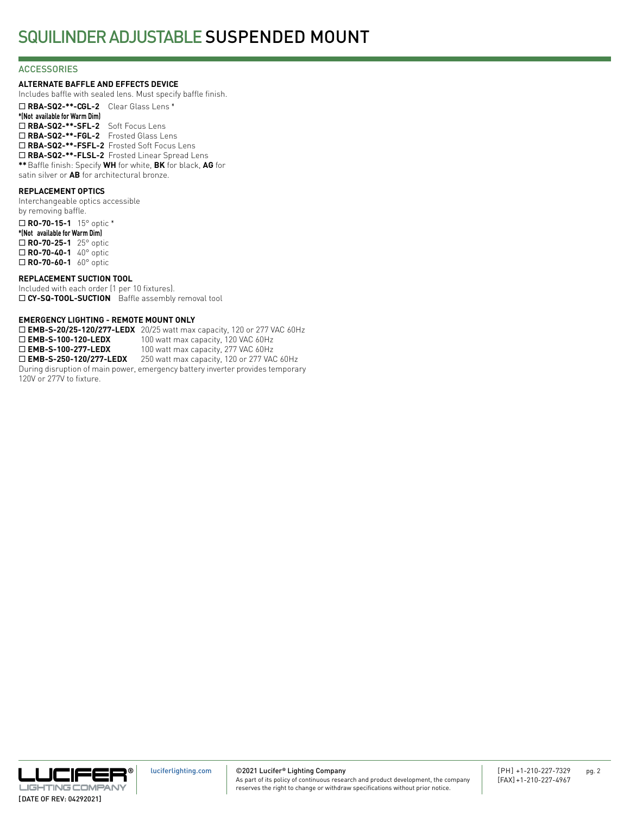#### **ACCESSORIES**

#### **ALTERNATE BAFFLE AND EFFECTS DEVICE**

Includes baffle with sealed lens. Must specify baffle finish.

¨ **RBA-SQ2-\*\*-CGL-2** Clear Glass Lens \* **\*(Not available for Warm Dim)** ¨ **RBA-SQ2-\*\*-SFL-2** Soft Focus Lens ¨ **RBA-SQ2-\*\*-FGL-2** Frosted Glass Lens ¨ **RBA-SQ2-\*\*-FSFL-2** Frosted Soft Focus Lens □ RBA-SQ2-\*\*-FLSL-2 Frosted Linear Spread Lens **\*\***Baffle finish: Specify **WH** for white, **BK** for black, **AG** for satin silver or **AB** for architectural bronze.

#### **REPLACEMENT OPTICS**

Interchangeable optics accessible by removing baffle. ¨ **RO-70-15-1** 15° optic \*

**\*(Not available for Warm Dim)** ¨ **RO-70-25-1** 25° optic □ **RO-70-40-1** 40° optic □ **RO-70-60-1** 60° optic

#### **REPLACEMENT SUCTION TOOL**

Included with each order (1 per 10 fixtures). □ CY-SQ-TOOL-SUCTION Baffle assembly removal tool

#### **EMERGENCY LIGHTING - REMOTE MOUNT ONLY**

**□ EMB-S-20/25-120/277-LEDX** 20/25 watt max capacity, 120 or 277 VAC 60Hz<br>□ **EMB-S-100-120-LEDX** 100 watt max capacity, 120 VAC 60Hz 100 watt max capacity, 120 VAC 60Hz □ **EMB-S-100-277-LEDX** 100 watt max capacity, 277 VAC 60Hz □ **EMB-S-250-120/277-LEDX** 250 watt max capacity, 120 or 277 VAC 60Hz During disruption of main power, emergency battery inverter provides temporary 120V or 277V to fixture.

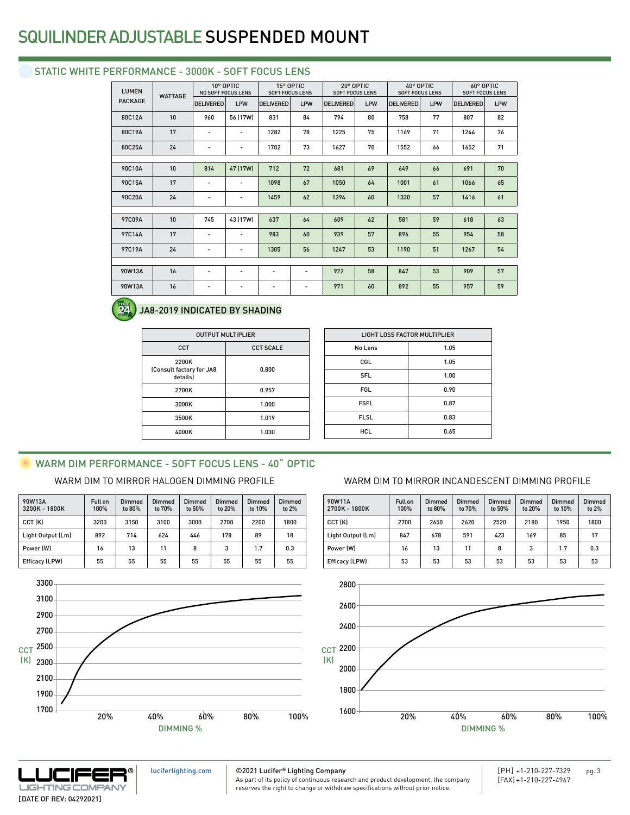## SQUILINDER ADJUSTABLE SUSPENDED MOUNT

## STATIC WHITE PERFORMANCE - 3000K - SOFT FOCUS LENS

| <b>LUMEN</b>   | <b>WATTAGE</b> | NO SOFT FOCUS LENS | 10° OPTIC                |                          | 15° OPTIC<br><b>SOFT FOCUS LENS</b> | 20° OPTIC<br><b>SOFT FOCUS LENS</b> |     | 40° OPTIC<br><b>SOFT FOCUS LENS</b> |     | 60° OPTIC<br><b>SOFT FOCUS LENS</b> |     |
|----------------|----------------|--------------------|--------------------------|--------------------------|-------------------------------------|-------------------------------------|-----|-------------------------------------|-----|-------------------------------------|-----|
| <b>PACKAGE</b> |                | <b>DELIVERED</b>   | LPW                      | <b>DELIVERED</b>         | LPW                                 | <b>DELIVERED</b>                    | LPW | <b>DELIVERED</b>                    | LPW | <b>DELIVERED</b>                    | LPW |
| 80C12A         | 10             | 960                | 56 (17W)                 | 831                      | 84                                  | 794                                 | 80  | 758                                 | 77  | 807                                 | 82  |
| 80C19A         | 17             | -                  | -                        | 1282                     | 78                                  | 1225                                | 75  | 1169                                | 71  | 1244                                | 76  |
| 80C25A         | 24             | $\overline{a}$     | $\overline{\phantom{a}}$ | 1702                     | 73                                  | 1627                                | 70  | 1552                                | 66  | 1652                                | 71  |
|                |                |                    |                          |                          |                                     |                                     |     |                                     |     |                                     |     |
| 90C10A         | 10             | 814                | 47 (17W)                 | 712                      | 72                                  | 681                                 | 69  | 649                                 | 66  | 691                                 | 70  |
| 90C15A         | 17             | -                  | $\overline{\phantom{a}}$ | 1098                     | 67                                  | 1050                                | 64  | 1001                                | 61  | 1066                                | 65  |
| 90C20A         | 24             | -                  | -                        | 1459                     | 62                                  | 1394                                | 60  | 1330                                | 57  | 1416                                | 61  |
|                |                |                    |                          |                          |                                     |                                     |     |                                     |     |                                     |     |
| 97C09A         | 10             | 745                | 43 (17W)                 | 637                      | 64                                  | 609                                 | 62  | 581                                 | 59  | 618                                 | 63  |
| 97C14A         | 17             | -                  | $\overline{\phantom{a}}$ | 983                      | 60                                  | 939                                 | 57  | 896                                 | 55  | 954                                 | 58  |
| 97C19A         | 24             | -                  | $\overline{\phantom{a}}$ | 1305                     | 56                                  | 1247                                | 53  | 1190                                | 51  | 1267                                | 54  |
|                |                |                    |                          |                          |                                     |                                     |     |                                     |     |                                     |     |
| 90W13A         | 16             | $\overline{a}$     | $\overline{\phantom{a}}$ | $\overline{\phantom{a}}$ | -                                   | 922                                 | 58  | 847                                 | 53  | 909                                 | 57  |
| 90W13A         | 16             |                    |                          | $\overline{a}$           | -                                   | 971                                 | 60  | 892                                 | 55  | 957                                 | 59  |



### JA8-2019 INDICATED BY SHADING

|                                               | <b>OUTPUT MULTIPLIER</b> |
|-----------------------------------------------|--------------------------|
| CCT                                           | <b>CCT SCALE</b>         |
| 2200K<br>(Consult factory for JA8<br>details) | 0.800                    |
| 2700K                                         | 0.957                    |
| 3000K                                         | 1.000                    |
| 3500K                                         | 1.019                    |
| 4000K                                         | 1.030                    |

| <b>LIGHT LOSS FACTOR MULTIPLIER</b> |      |  |  |
|-------------------------------------|------|--|--|
| No Lens                             | 1.05 |  |  |
| CGL                                 | 1.05 |  |  |
| <b>SFL</b>                          | 1.00 |  |  |
| <b>FGL</b>                          | 0.90 |  |  |
| <b>FSFL</b>                         | 0.87 |  |  |
| <b>FLSL</b>                         | 0.83 |  |  |
| <b>HCL</b>                          | 0.65 |  |  |
|                                     |      |  |  |

# WARM DIM PERFORMANCE - SOFT FOCUS LENS - 40° OPTIC

| 90W13A<br>3200K - 1800K | Full on<br>100% | Dimmed<br>to 80% | Dimmed<br>to 70% | Dimmed<br>to 50% | Dimmed<br>to 20% | Dimmed<br>to 10% | Dimmed<br>to 2% |
|-------------------------|-----------------|------------------|------------------|------------------|------------------|------------------|-----------------|
| CCT (K)                 | 3200            | 3150             | 3100             | 3000             | 2700             | 2200             | 1800            |
| Light Output (Lm)       | 892             | 714              | 624              | 446              | 178              | 89               | 18              |
| Power (W)               | 16              | 13               | 11               | 8                | 3                | 1.7              | 0.3             |
| Efficacy (LPW)          | 55              | 55               | 55               | 55               | 55               | 55               | 55              |



### WARM DIM TO MIRROR HALOGEN DIMMING PROFILE WARM DIM TO MIRROR INCANDESCENT DIMMING PROFILE

| 90W11A<br>2700K - 1800K | Full on<br>100% | <b>Dimmed</b><br>to 80% | Dimmed<br>to 70% | <b>Dimmed</b><br>to 50% | <b>Dimmed</b><br>to 20% | Dimmed<br>to 10% | Dimmed<br>to $2%$ |
|-------------------------|-----------------|-------------------------|------------------|-------------------------|-------------------------|------------------|-------------------|
| CCT (K)                 | 2700            | 2650                    | 2620             | 2520                    | 2180                    | 1950             | 1800              |
| Light Output (Lm)       | 847             | 678                     | 591              | 423                     | 169                     | 85               | 17                |
| Power (W)               | 16              | 13                      | 11               | 8                       | 3                       | 1.7              | 0.3               |
| <b>Efficacy (LPW)</b>   | 53              | 53                      | 53               | 53                      | 53                      | 53               | 53                |





[luciferlighting.com](http://luciferlighting.com/)

©2021 Lucifer**®** Lighting Company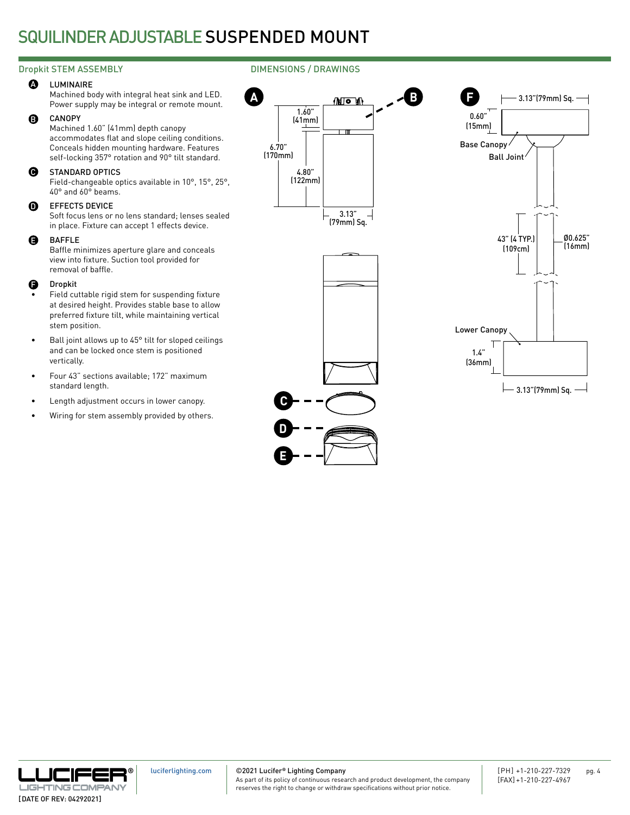## SQUILINDER ADJUSTABLE SUSPENDED MOUNT

### Dropkit STEM ASSEMBLY **DIMENSIONS** / DRAWINGS

#### **A** LUMINAIRE

Machined body with integral heat sink and LED. Power supply may be integral or remote mount.

#### B CANOPY

Machined 1.60" (41mm) depth canopy accommodates flat and slope ceiling conditions. Conceals hidden mounting hardware. Features self-locking 357° rotation and 90° tilt standard.

#### $\boldsymbol{\Theta}$ STANDARD OPTICS

Field-changeable optics available in 10°, 15°, 25°, 40° and 60° beams.

#### $\mathbf 0$ EFFECTS DEVICE

Soft focus lens or no lens standard; lenses sealed in place. Fixture can accept 1 effects device.

#### BAFFLE E

Baffle minimizes aperture glare and conceals view into fixture. Suction tool provided for removal of baffle.

#### Dropkit F

- Field cuttable rigid stem for suspending fixture at desired height. Provides stable base to allow preferred fixture tilt, while maintaining vertical stem position.
- Ball joint allows up to 45° tilt for sloped ceilings and can be locked once stem is positioned vertically.
- Four 43" sections available; 172" maximum standard length.
- Length adjustment occurs in lower canopy.
- Wiring for stem assembly provided by others.





©2021 Lucifer**®** Lighting Company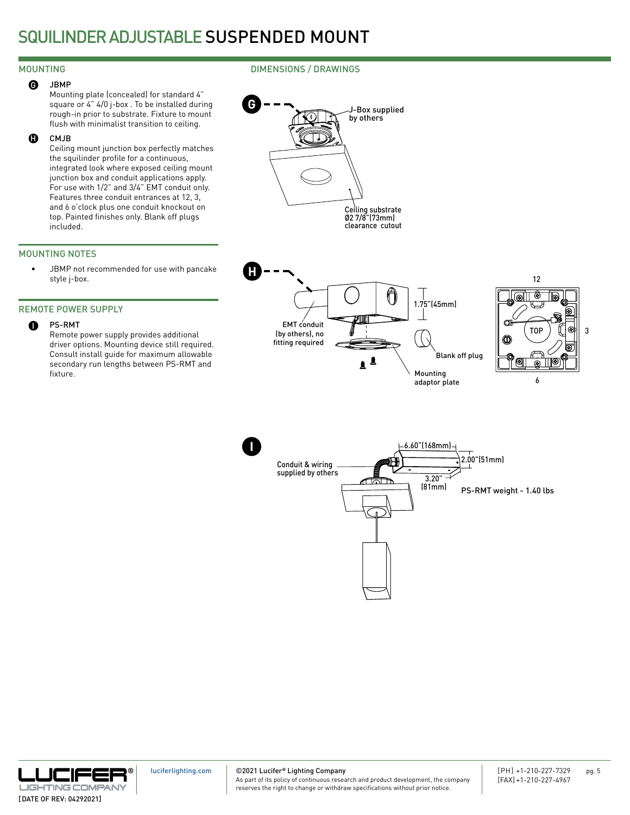## SQUILINDER ADJUSTABLE SUSPENDED MOUNT

### DIMENSIONS / DRAWINGS

## G JBMP

MOUNTING

Mounting plate (concealed) for standard 4" square or 4" 4/0 j-box . To be installed during rough-in prior to substrate. Fixture to mount flush with minimalist transition to ceiling.

#### CMJB  $\bf{d}$

Ceiling mount junction box perfectly matches the squilinder profile for a continuous, integrated look where exposed ceiling mount junction box and conduit applications apply. For use with 1/2" and 3/4" EMT conduit only. Features three conduit entrances at 12, 3, and 6 o'clock plus one conduit knockout on top. Painted finishes only. Blank off plugs included.

### MOUNTING NOTES

• JBMP not recommended for use with pancake style j-box.

### REMOTE POWER SUPPLY

#### PS-RMT I

Remote power supply provides additional driver options. Mounting device still required. Consult install guide for maximum allowable secondary run lengths between PS-RMT and fixture.







©2021 Lucifer**®** Lighting Company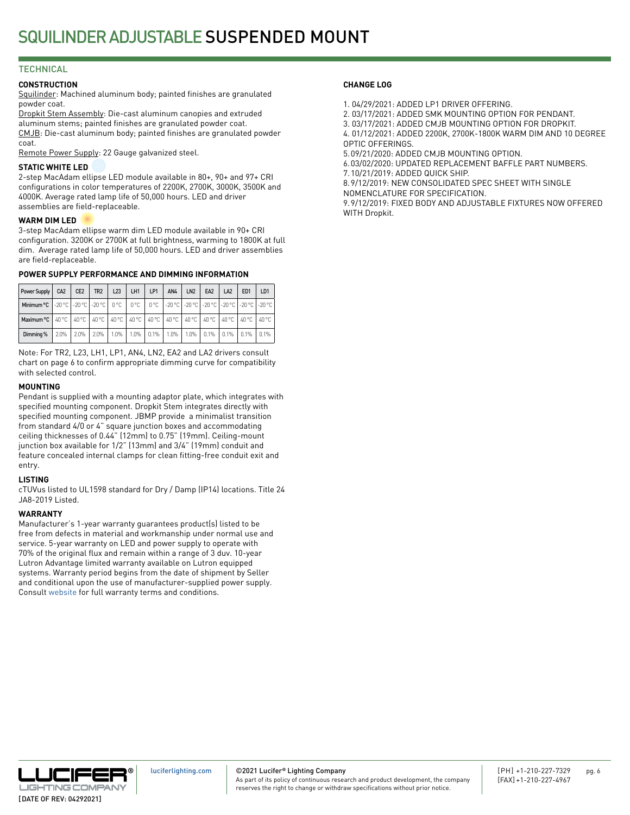### **TECHNICAL**

#### **CONSTRUCTION**

Squilinder: Machined aluminum body; painted finishes are granulated powder coat.

Dropkit Stem Assembly: Die-cast aluminum canopies and extruded aluminum stems; painted finishes are granulated powder coat. CMJB: Die-cast aluminum body; painted finishes are granulated powder coat.

Remote Power Supply: 22 Gauge galvanized steel.

#### **STATIC WHITE LED**

2-step MacAdam ellipse LED module available in 80+, 90+ and 97+ CRI configurations in color temperatures of 2200K, 2700K, 3000K, 3500K and 4000K. Average rated lamp life of 50,000 hours. LED and driver assemblies are field-replaceable.

#### **WARM DIM LED**

3-step MacAdam ellipse warm dim LED module available in 90+ CRI configuration. 3200K or 2700K at full brightness, warming to 1800K at full dim. Average rated lamp life of 50,000 hours. LED and driver assemblies are field-replaceable.

#### **POWER SUPPLY PERFORMANCE AND DIMMING INFORMATION**

| Power Supply                                                                                                     | CA <sub>2</sub> | CE <sub>2</sub> | TR <sub>2</sub> | L23 | LH1 | LP1 | AN4                | LN2 | EA <sub>2</sub> | LA <sub>2</sub>                  | ED <sub>1</sub> | LD <sub>1</sub> |
|------------------------------------------------------------------------------------------------------------------|-----------------|-----------------|-----------------|-----|-----|-----|--------------------|-----|-----------------|----------------------------------|-----------------|-----------------|
| Minimum °C   -20 °C   -20 °C   -20 °C   0 °C   0 °C   0 °C   -20 °C   -20 °C   -20 °C   -20 °C   -20 °C   -20 °C |                 |                 |                 |     |     |     |                    |     |                 |                                  |                 |                 |
| Maximum °C   40 °C   40 °C   40 °C   40 °C   40 °C   40 °C   40 °C   40 °C   40 °C   40 °C   40 °C   40 °C       |                 |                 |                 |     |     |     |                    |     |                 |                                  |                 |                 |
| Dimming %                                                                                                        | 2.0%            |                 | 2.0% 2.0% 1.0%  |     |     |     | 1.0%   0.1%   1.0% |     |                 | 1.0%   0.1%   0.1%   0.1%   0.1% |                 |                 |

Note: For TR2, L23, LH1, LP1, AN4, LN2, EA2 and LA2 drivers consult chart on page 6 to confirm appropriate dimming curve for compatibility with selected control.

#### **MOUNTING**

Pendant is supplied with a mounting adaptor plate, which integrates with specified mounting component. Dropkit Stem integrates directly with specified mounting component. JBMP provide a minimalist transition from standard 4/0 or 4" square junction boxes and accommodating ceiling thicknesses of 0.44" (12mm) to 0.75" (19mm). Ceiling-mount junction box available for 1/2" (13mm) and 3/4" (19mm) conduit and feature concealed internal clamps for clean fitting-free conduit exit and entry.

### **LISTING**

cTUVus listed to UL1598 standard for Dry / Damp (IP14) locations. Title 24 JA8-2019 Listed.

#### **WARRANTY**

Manufacturer's 1-year warranty guarantees product(s) listed to be free from defects in material and workmanship under normal use and service. 5-year warranty on LED and power supply to operate with 70% of the original flux and remain within a range of 3 duv. 10-year Lutron Advantage limited warranty available on Lutron equipped systems. Warranty period begins from the date of shipment by Seller and conditional upon the use of manufacturer-supplied power supply. Consult [website](http://luciferlighting.com/Resources/Full-Warranty) for full warranty terms and conditions.

#### **CHANGE LOG**

- 1. 04/29/2021: ADDED LP1 DRIVER OFFERING.
- 2. 03/17/2021: ADDED SMK MOUNTING OPTION FOR PENDANT.
- 3. 03/17/2021: ADDED CMJB MOUNTING OPTION FOR DROPKIT.
- 4. 01/12/2021: ADDED 2200K, 2700K-1800K WARM DIM AND 10 DEGREE
- OPTIC OFFERINGS. 5.09/21/2020: ADDED CMJB MOUNTING OPTION.
- 6.03/02/2020: UPDATED REPLACEMENT BAFFLE PART NUMBERS.
- 7.10/21/2019: ADDED QUICK SHIP.

8.9/12/2019: NEW CONSOLIDATED SPEC SHEET WITH SINGLE NOMENCLATURE FOR SPECIFICATION.

9.9/12/2019: FIXED BODY AND ADJUSTABLE FIXTURES NOW OFFERED WITH Dropkit.



©2021 Lucifer**®** Lighting Company